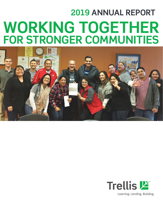# **2019 ANNUAL REPORT WORKING TOGETHER FOR STRONGER COMMUNITIES**



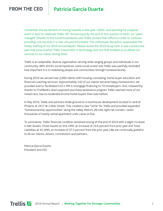## **FROM THE CEO Patricia Garcia Duarte**

I remember the excitement of moving towards a new year—2020—and planning for a special event in April to celebrate Trellis' 45<sup>th</sup> Anniversary! By the end of first quarter of 2020, our "plans changed" (thanks to the Covid19 pandemic) and Trellis pivoted their efforts in order to continue providing core services in a new virtual environment. This unforeseen disruption superseded the timely drafting of our 2019 Annual Report. Please review the 2019 recap here. It was a productive year that jump-started Trellis' investment in technology and one that enabled us to deliver our services to our clients during 2020.

Trellis is an adaptable, diverse organization serving wide-ranging groups and individuals in our community. With 2019's social injustices came social unrest and Trellis was painfully reminded how important it is to stabilizing people and communities through homeownership.

During 2019 we served over 2,000 clients with housing counseling, home-buyer education and financial-coaching services. Approximately 142 of our clients became happy homeowners; we provided and/or facilitated \$10.1 MM in mortgage financing to 72 homebuyers. And, noteworthy: thanks to FirstBank's down-payment-purchase-assistance program Trellis reached more of our mixed-race, low-to-moderate-income home buyers than ever before.

In May 2019, Trellis and partners broke ground on a townhouse development located in central Phoenix at 1617 W. Colter Street. This created a new "niche" for Trellis and provided expanded "homeownership opportunities" along the Valley Metro's 28-mile, light-rail corridor—when thousands of mostly rental apartment units came on line.

To summarize, Trellis' financial condition remained strong at the end of 2019 with a slight increase in Net Assets. (Total Assets at \$16.1MM, an increase of 10.6 percent from prior year and Total Liabilities at \$5.3MM, an increase of 37.5 percent from the prior year.) We are continually grateful to all our clients, donors, contributors and partners.

Patricia Garcia Duarte President and CEO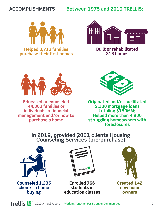## **ACCOMPLISHMENTS**

## **Between 1975 and 2019 TRELLIS:**



**Helped 3,713 families purchase their first homes** 



**Built or rehabilitated 318 homes**



**Educated or counseled 44,303 families or individuals in financial management and/or how to purchase a home**



**Originated and/or facilitated 2,100 mortgage loans totaling \$159MM; Helped more than 4,800 struggling homeowners with foreclosures**

## **In 2019, provided 2001 clients Housing Counseling Services (pre-purchase)**



**Counseled 1,235 clients in home buying**



**Enrolled 766 students in education classes**

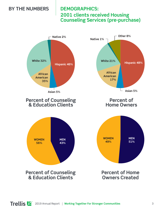## **BY THE NUMBERS**

## **DEMOGRAPHICS: 2001 clients received Housing Counseling Services (pre-purchase)**

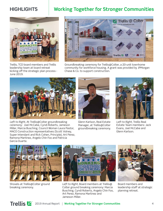## **HIGHLIGHTS**

## **Working Together for Stronger Communities**



Trellis, TCD board members and Trellis leadership team at board retreat kicking off the strategic plan process - June 2019.



Groundbreaking ceremony for Trellis@Colter, a 20-unit townhome community for workforce housing. A grant was provided by JPMorgan Chase & Co. to support construction.



*Left to Right,* At Trellis@Colter groundbreaking ceremony: Joel McCabe, Cyndi Roberts, Jameson Miller, Marcia Busching, Council Woman Laura Pastor, MACO Construction representatives (Scott Volney, Super Intendant and Rick Cohen, Principle), Art Perez, Ramona Martinez, Angelo Chin Foo and Patricia Garcia Duarte.



Glenn Karlson, Real Estate Manager, at Trellis@Colter groundbreaking ceremony.



*Left to Right,* Trellis Real Estate Team members: Jack Evans, Joel McCabe and Glenn Karlson.



Shovels at Trellis@Colter ground breaking ceremony.



*Left to Right,* Board members at Trellis@ Colter ground breaking ceremony: Marcia Busching, Cyndi Roberts, Angelo Chin Foo, Art Perez, Ramona Martinez and Jameson Miller.



Board members and leadership staff at strategic planning retreat.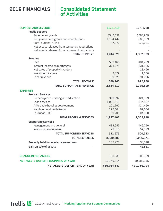## **2019 FINANCIALS**

## **Consolidated Statement of Activities**

| <b>SUPPORT AND REVENUE</b>                      | 12/31/19     | 12/31/18     |
|-------------------------------------------------|--------------|--------------|
| <b>Public Support</b>                           |              |              |
| Government grants                               | \$542,052    | \$588,909    |
| Nongovernment grants and contributions          | 1,164,447    | 606,333      |
| Contributions in-kind                           | 37,871       | 172,091      |
| Net assets released from temporary restrictions |              |              |
| Net assets released from permanent restrictions |              |              |
| <b>TOTAL SUPPORT</b>                            | 1,744,370    | 1,367,333    |
| <b>Revenue</b>                                  |              |              |
| Fees                                            | 552,465      | 484,469      |
| Interest income on mortgages                    | 274,775      | 221,625      |
| Net sales of property inventory                 |              | 23,496       |
| Investment income                               | 3,329        | 1,660        |
| Other revenue                                   | 59,371       | 91,036       |
| <b>TOTAL REVENUE</b>                            | 889,940      | 822,286      |
| <b>TOTAL SUPPORT AND REVENUE</b>                | 2,634,310    | 2,189,619    |
| <b>EXPENSES</b>                                 |              |              |
| <b>Program Services</b>                         |              |              |
| Homebuyer counseling and education              | 399,392      | 424,179      |
| Loan services                                   | 1,081,518    | 544,597      |
| Affordable housing development                  | 291,292      | 414,460      |
| Neighborhood revitalization                     | 125,504      | 67,084       |
| La Ciudad, LLC                                  | 99,701       | 104,828      |
| <b>TOTAL PROGRAM SERVICES</b>                   | 1,997,407    | 1,555,148    |
| <b>Supporting Services</b>                      |              |              |
| Management and general                          | 483,959      | 446,750      |
| Resource development                            | 49,016       | 54,173       |
| <b>TOTAL SUPPORTING SERVICES</b>                | 532,975      | 500,923      |
| <b>TOTAL EXPENSES</b>                           | 2,530,382    | 2,056,071    |
| Property held for sale impairment loss          | 103,928      | 133,548      |
| Gain on sale of assets                          |              | 46,851       |
|                                                 |              |              |
| <b>CHANGE IN NET ASSETS</b>                     | 103,928      | 180,399      |
| NET ASSETS (DEFICIT), BEGINNING OF YEAR         | 10,760,714   | 10,580,315   |
| NET ASSETS (DEFICIT), END OF YEAR               | \$10,864,642 | \$10,760,714 |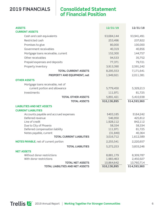## **2019 FINANCIALS**

## **Consolidated Statement of Financial Position**

| <b>ASSETS</b><br><b>CURRENT ASSETS</b>                    | 12/31/19             | 12/31/18         |
|-----------------------------------------------------------|----------------------|------------------|
| Cash and cash equivalents                                 | \$3,684,144          | \$3,941,491      |
| Restricted cash                                           | 253,496              | 237,822          |
| Promises to give                                          | 80,000               | 100,000          |
| Government receivables                                    | 40,319               | 40,856           |
| Mortgage loans receivable, current                        | 152,300              | 144,757          |
| Other receivables                                         | 94,533               | 35,752           |
| Prepaid expenses and deposits                             | 77,371               | 79,721           |
| Property inventory                                        | 3,913,390            | 2,591,242        |
| <b>TOTAL CURRENT ASSETS</b>                               | 8,295,553            | 7,171,641        |
| PROPERTY AND EQUIPMENT, net                               | 1,949,921            | 2,011,381        |
| <b>OTHER ASSETS</b>                                       |                      |                  |
| Mortgage loans receivable, net of                         |                      |                  |
| current portion and allowance                             | 5,779,450            | 5,329,213        |
| Investments                                               | 111,971              | 81,725           |
| <b>TOTAL OTHER ASSETS</b>                                 | 5,891,421            | 5,410,938        |
| <b>TOTAL ASSETS</b>                                       | \$16,136,895         | \$14,593,960     |
| <b>LIABILITIES AND NET ASSETS</b>                         |                      |                  |
| <b>CURRENT LIABILITIES</b>                                |                      |                  |
| Accounts payable and accrued expenses                     | \$403,185            | \$164,242        |
| Deferred revenue                                          | 546,950              | 425,812          |
| Line of credit                                            | 1,928,112            | 842,112          |
| Due to City of Phoenix                                    | 58,334               | 58,334<br>81,725 |
| Deferred compensation liability<br>Notes payable, current | 111,971<br>(31, 840) | 40,364           |
| <b>TOTAL CURRENT LIABILITIES</b>                          | 3,016,712            | 1,612,589        |
| <b>NOTES PAYABLE, net of current portion</b>              | 2,255,541            | 2,220,657        |
| <b>TOTAL LIABILITIES</b>                                  | 5,272,253            | 3,833,246        |
| <b>NET ASSETS</b>                                         |                      |                  |
| Without donor restrictions                                | 8,881,179            | 8,309,787        |
| With donor restrictions                                   | 1,983,463            | 2,450,927        |
| <b>TOTAL NET ASSETS</b>                                   | 10,864,642           | 10,760,714       |
| <b>TOTAL LIABILITIES AND NET ASSETS</b>                   | \$16,136,895         | \$14,593,960     |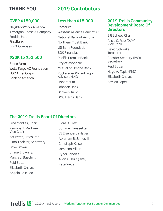## **THANK YOU**

#### **OVER \$150,000**

NeighborWorks America JPMorgan Chase & Company Freddie Mac **FirstBank** BBVA Compass

#### **\$20K to \$52,500**

State Farm Wells Fargo AZ Foundation LISC AmeriCorps Bank of America

## **2019 Contributors**

### **Less than \$15,000**

Comerica Western Alliance Bank of AZ National Bank of Arizona Northern Trust Bank US Bank Foundation BOK Financial Pacific Premier Bank City of Avondale Mutual of Omaha Bank Rockefeller Philanthropy Advisors/L4G Honorarium Johnson Bank Bankers Trust BMO Harris Bank

#### **2019 Trellis Community Development Board Of Directors**

Bill Scheel, Chair Alicia O. Ruiz (DVM) Vice Chair David Schwake **Treasurer** Chester Seabury (PhD) **Secretary** Reid Butler Hugo A. Tapia (PhD) Elizabeth Chavez Armida Lopez

### **The 2019 Trellis Board Of Directors**

Gina Montes, Chair Ramona T. Martinez Vice Chair Art Perez, Treasurer Sima Thakkar, Secretary Dave Brown Chase Browning Marcia J. Busching Reid Butler Elizabeth Chavez Angelo Chin Foo

Elora D. Diaz Summer Faussette CJ Eisenbarth Hager Abraham B. James III Christoph Kaiser Jameson Miller Cyndi Roberts Alicia O. Ruiz (DVM) Kate Wells